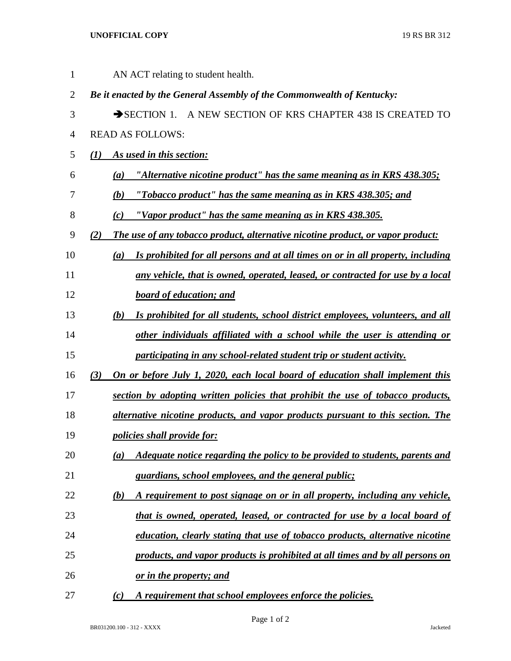## **UNOFFICIAL COPY** 19 RS BR 312

| 1              | AN ACT relating to student health.                                                     |
|----------------|----------------------------------------------------------------------------------------|
| $\overline{2}$ | Be it enacted by the General Assembly of the Commonwealth of Kentucky:                 |
| 3              | SECTION 1. A NEW SECTION OF KRS CHAPTER 438 IS CREATED TO                              |
| 4              | <b>READ AS FOLLOWS:</b>                                                                |
| 5              | As used in this section:<br>(I)                                                        |
| 6              | "Alternative nicotine product" has the same meaning as in KRS 438.305;<br>(a)          |
| 7              | "Tobacco product" has the same meaning as in KRS 438.305; and<br>(b)                   |
| 8              | "Vapor product" has the same meaning as in KRS 438.305.<br>(c)                         |
| 9              | The use of any tobacco product, alternative nicotine product, or vapor product:<br>(2) |
| 10             | Is prohibited for all persons and at all times on or in all property, including<br>(a) |
| 11             | any vehicle, that is owned, operated, leased, or contracted for use by a local         |
| 12             | <b>board of education; and</b>                                                         |
| 13             | Is prohibited for all students, school district employees, volunteers, and all<br>(b)  |
| 14             | other individuals affiliated with a school while the user is attending or              |
| 15             | participating in any school-related student trip or student activity.                  |
| 16             | On or before July 1, 2020, each local board of education shall implement this<br>(3)   |
| 17             | section by adopting written policies that prohibit the use of tobacco products,        |
| 18             | alternative nicotine products, and vapor products pursuant to this section. The        |
| 19             | <i>policies shall provide for:</i>                                                     |
| 20             | Adequate notice regarding the policy to be provided to students, parents and<br>(a)    |
| 21             | guardians, school employees, and the general public;                                   |
| 22             | A requirement to post signage on or in all property, including any vehicle,<br>(b)     |
| 23             | that is owned, operated, leased, or contracted for use by a local board of             |
| 24             | education, clearly stating that use of tobacco products, alternative nicotine          |
| 25             | products, and vapor products is prohibited at all times and by all persons on          |
| 26             | <u>or in the property; and</u>                                                         |
| 27             | A requirement that school employees enforce the policies.<br>(c)                       |